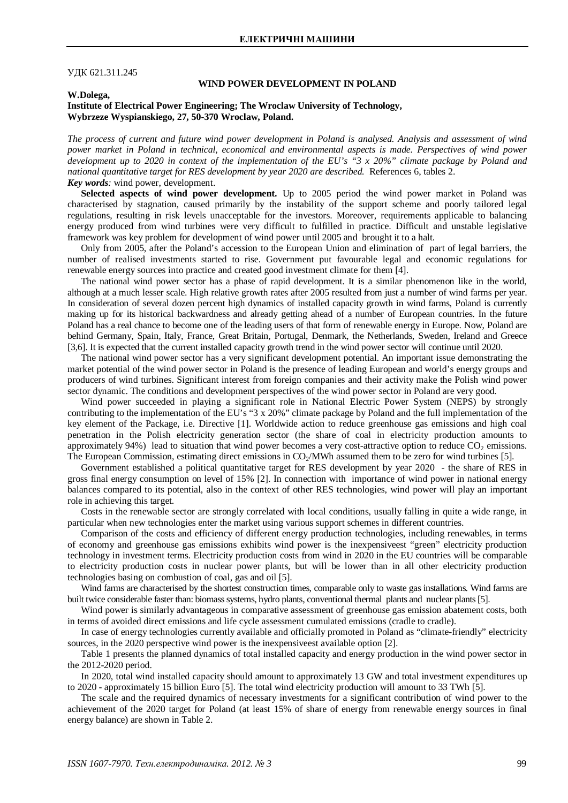## ɍȾɄ 621.311.245

# **WIND POWER DEVELOPMENT IN POLAND**

**W.Dolega,**

## **Institute of Electrical Power Engineering; The Wroclaw University of Technology, Wybrzeze Wyspianskiego, 27, 50-370 Wroclaw, Poland.**

*The process of current and future wind power development in Poland is analysed. Analysis and assessment of wind power market in Poland in technical, economical and environmental aspects is made. Perspectives of wind power development up to 2020 in context of the implementation of the EU's "3 x 20%" climate package by Poland and national quantitative target for RES development by year 2020 are described.* References 6, tables 2. *Key words:* wind power, development.

Selected aspects of wind power development. Up to 2005 period the wind power market in Poland was characterised by stagnation, caused primarily by the instability of the support scheme and poorly tailored legal regulations, resulting in risk levels unacceptable for the investors. Moreover, requirements applicable to balancing energy produced from wind turbines were very difficult to fulfilled in practice. Difficult and unstable legislative framework was key problem for development of wind power until 2005 and brought it to a halt.

Only from 2005, after the Poland's accession to the European Union and elimination of part of legal barriers, the number of realised investments started to rise. Government put favourable legal and economic regulations for renewable energy sources into practice and created good investment climate for them [4].

The national wind power sector has a phase of rapid development. It is a similar phenomenon like in the world, although at a much lesser scale. High relative growth rates after 2005 resulted from just a number of wind farms per year. In consideration of several dozen percent high dynamics of installed capacity growth in wind farms, Poland is currently making up for its historical backwardness and already getting ahead of a number of European countries. In the future Poland has a real chance to become one of the leading users of that form of renewable energy in Europe. Now, Poland are behind Germany, Spain, Italy, France, Great Britain, Portugal, Denmark, the Netherlands, Sweden, Ireland and Greece [3,6]. It is expected that the current installed capacity growth trend in the wind power sector will continue until 2020.

The national wind power sector has a very significant development potential. An important issue demonstrating the market potential of the wind power sector in Poland is the presence of leading European and world's energy groups and producers of wind turbines. Significant interest from foreign companies and their activity make the Polish wind power sector dynamic. The conditions and development perspectives of the wind power sector in Poland are very good.

Wind power succeeded in playing a significant role in National Electric Power System (NEPS) by strongly contributing to the implementation of the EU's "3 x 20%" climate package by Poland and the full implementation of the key element of the Package, i.e. Directive [1]. Worldwide action to reduce greenhouse gas emissions and high coal penetration in the Polish electricity generation sector (the share of coal in electricity production amounts to approximately 94%) lead to situation that wind power becomes a very cost-attractive option to reduce  $CO<sub>2</sub>$  emissions. The European Commission, estimating direct emissions in  $CO<sub>2</sub>/MWh$  assumed them to be zero for wind turbines [5].

Government established a political quantitative target for RES development by year 2020 - the share of RES in gross final energy consumption on level of 15% [2]. In connection with importance of wind power in national energy balances compared to its potential, also in the context of other RES technologies, wind power will play an important role in achieving this target.

Costs in the renewable sector are strongly correlated with local conditions, usually falling in quite a wide range, in particular when new technologies enter the market using various support schemes in different countries.

Comparison of the costs and efficiency of different energy production technologies, including renewables, in terms of economy and greenhouse gas emissions exhibits wind power is the inexpensiveest "green" electricity production technology in investment terms. Electricity production costs from wind in 2020 in the EU countries will be comparable to electricity production costs in nuclear power plants, but will be lower than in all other electricity production technologies basing on combustion of coal, gas and oil [5].

Wind farms are characterised by the shortest construction times, comparable only to waste gas installations. Wind farms are built twice considerable faster than: biomass systems, hydro plants, conventional thermal plants and nuclear plants [5].

Wind power is similarly advantageous in comparative assessment of greenhouse gas emission abatement costs, both in terms of avoided direct emissions and life cycle assessment cumulated emissions (cradle to cradle).

In case of energy technologies currently available and officially promoted in Poland as "climate-friendly" electricity sources, in the 2020 perspective wind power is the inexpensiveest available option [2].

Table 1 presents the planned dynamics of total installed capacity and energy production in the wind power sector in the 2012-2020 period.

In 2020, total wind installed capacity should amount to approximately 13 GW and total investment expenditures up to 2020 - approximately 15 billion Euro [5]. The total wind electricity production will amount to 33 TWh [5].

The scale and the required dynamics of necessary investments for a significant contribution of wind power to the achievement of the 2020 target for Poland (at least 15% of share of energy from renewable energy sources in final energy balance) are shown in Table 2.